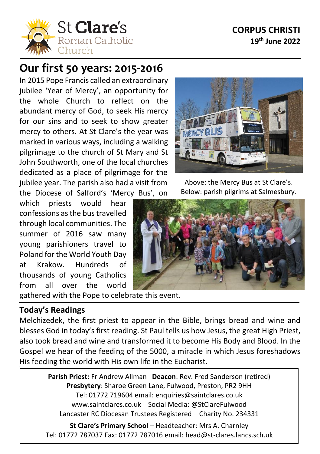## **CORPUS CHRISTI 19 th June 2022**



# **Our first 50 years: 2015-2016**

In 2015 Pope Francis called an extraordinary jubilee 'Year of Mercy', an opportunity for the whole Church to reflect on the abundant mercy of God, to seek His mercy for our sins and to seek to show greater mercy to others. At St Clare's the year was marked in various ways, including a walking pilgrimage to the church of St Mary and St John Southworth, one of the local churches dedicated as a place of pilgrimage for the jubilee year. The parish also had a visit from the Diocese of Salford's 'Mercy Bus', on

which priests would hear confessions as the bustravelled through local communities. The summer of 2016 saw many young parishioners travel to Poland for the World Youth Day at Krakow. Hundreds of thousands of young Catholics from all over the world

gathered with the Pope to celebrate this event.

#### **Today's Readings**

í

Melchizedek, the first priest to appear in the Bible, brings bread and wine and blesses God in today's first reading. St Paul tells us how Jesus, the great High Priest, also took bread and wine and transformed it to become His Body and Blood. In the Gospel we hear of the feeding of the 5000, a miracle in which Jesus foreshadows His feeding the world with His own life in the Eucharist.

> **Parish Priest:** Fr Andrew Allman **Deacon**: Rev. Fred Sanderson (retired) **Presbytery**: Sharoe Green Lane, Fulwood, Preston, PR2 9HH Tel: 01772 719604 email: enquiries@saintclares.co.uk www.saintclares.co.uk Social Media: @StClareFulwood Lancaster RC Diocesan Trustees Registered – Charity No. 234331

**St Clare's Primary School** – Headteacher: Mrs A. Charnley Tel: 01772 787037 Fax: 01772 787016 email: head@st-clares.lancs.sch.uk



Above: the Mercy Bus at St Clare's. Below: parish pilgrims at Salmesbury.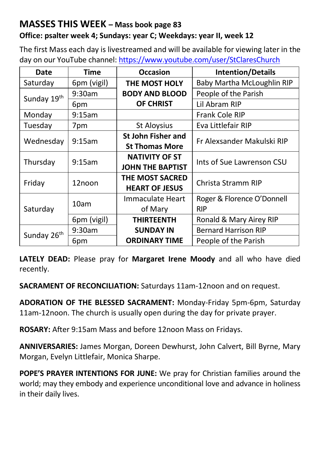## **MASSES THIS WEEK – Mass book page 83**

### **Office: psalter week 4; Sundays: year C; Weekdays: year II, week 12**

The first Mass each day is livestreamed and will be available for viewing later in the day on our YouTube channel[: https://www.youtube.com/user/StClaresChurch](https://www.youtube.com/user/StClaresChurch)

| Date                    | <b>Time</b> | <b>Occasion</b>                                 | <b>Intention/Details</b>   |  |
|-------------------------|-------------|-------------------------------------------------|----------------------------|--|
| Saturday                | 6pm (vigil) | THE MOST HOLY                                   | Baby Martha McLoughlin RIP |  |
| Sunday 19th             | $9:30$ am   | <b>BODY AND BLOOD</b>                           | People of the Parish       |  |
|                         | 6pm         | OF CHRIST                                       | Lil Abram RIP              |  |
| Monday                  | 9:15am      |                                                 | Frank Cole RIP             |  |
| Tuesday                 | 7pm         | St Aloysius                                     | Eva Littlefair RIP         |  |
| Wednesday               | 9:15am      | <b>St John Fisher and</b>                       | Fr Alexsander Makulski RIP |  |
|                         |             | <b>St Thomas More</b>                           |                            |  |
| Thursday                | 9:15am      | <b>NATIVITY OF ST</b>                           | Ints of Sue Lawrenson CSU  |  |
|                         |             | <b>JOHN THE BAPTIST</b>                         |                            |  |
| Friday                  | 12noon      | THE MOST SACRED                                 | Christa Stramm RIP         |  |
|                         |             | <b>HEART OF JESUS</b>                           |                            |  |
| Saturday                | 10am        | Immaculate Heart                                | Roger & Florence O'Donnell |  |
|                         |             | of Mary                                         | <b>RIP</b>                 |  |
|                         | 6pm (vigil) | <b>THIRTEENTH</b>                               | Ronald & Mary Airey RIP    |  |
| Sunday 26 <sup>th</sup> | 9:30am      | <b>Bernard Harrison RIP</b><br><b>SUNDAY IN</b> |                            |  |
|                         | 6pm         | <b>ORDINARY TIME</b>                            | People of the Parish       |  |

**LATELY DEAD:** Please pray for **Margaret Irene Moody** and all who have died recently.

**SACRAMENT OF RECONCILIATION:** Saturdays 11am-12noon and on request.

**ADORATION OF THE BLESSED SACRAMENT:** Monday-Friday 5pm-6pm, Saturday 11am-12noon. The church is usually open during the day for private prayer.

**ROSARY:** After 9:15am Mass and before 12noon Mass on Fridays.

**ANNIVERSARIES:** James Morgan, Doreen Dewhurst, John Calvert, Bill Byrne, Mary Morgan, Evelyn Littlefair, Monica Sharpe.

**POPE'S PRAYER INTENTIONS FOR JUNE:** We pray for Christian families around the world; may they embody and experience unconditional love and advance in holiness in their daily lives.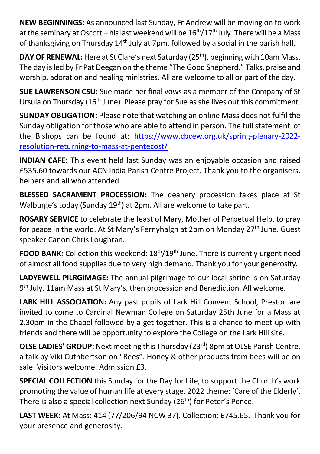**NEW BEGINNINGS:** As announced last Sunday, Fr Andrew will be moving on to work at the seminary at Oscott – his last weekend will be  $16^{\text{th}}/17^{\text{th}}$  July. There will be a Mass of thanksgiving on Thursday  $14<sup>th</sup>$  July at 7pm, followed by a social in the parish hall.

**DAY OF RENEWAL:** Here at St Clare's next Saturday (25<sup>th</sup>), beginning with 10am Mass. The day is led by Fr Pat Deegan on the theme "The Good Shepherd." Talks, praise and worship, adoration and healing ministries. All are welcome to all or part of the day.

**SUE LAWRENSON CSU:** Sue made her final vows as a member of the Company of St Ursula on Thursday (16<sup>th</sup> June). Please pray for Sue as she lives out this commitment.

**SUNDAY OBLIGATION:** Please note that watching an online Mass does not fulfil the Sunday obligation for those who are able to attend in person. The full statement of the Bishops can be found at: [https://www.cbcew.org.uk/spring-plenary-2022](https://www.cbcew.org.uk/spring-plenary-2022-resolution-returning-to-mass-at-pentecost/) [resolution-returning-to-mass-at-pentecost/](https://www.cbcew.org.uk/spring-plenary-2022-resolution-returning-to-mass-at-pentecost/)

**INDIAN CAFE:** This event held last Sunday was an enjoyable occasion and raised £535.60 towards our ACN India Parish Centre Project. Thank you to the organisers, helpers and all who attended.

**BLESSED SACRAMENT PROCESSION:** The deanery procession takes place at St Walburge's today (Sunday 19<sup>th</sup>) at 2pm. All are welcome to take part.

**ROSARY SERVICE** to celebrate the feast of Mary, Mother of Perpetual Help, to pray for peace in the world. At St Mary's Fernyhalgh at 2pm on Monday 27<sup>th</sup> June. Guest speaker Canon Chris Loughran.

**FOOD BANK:** Collection this weekend: 18<sup>th</sup>/19<sup>th</sup> June. There is currently urgent need of almost all food supplies due to very high demand. Thank you for your generosity.

**LADYEWELL PILRGIMAGE:** The annual pilgrimage to our local shrine is on Saturday 9<sup>th</sup> July. 11am Mass at St Mary's, then procession and Benediction. All welcome.

**LARK HILL ASSOCIATION:** Any past pupils of Lark Hill Convent School, Preston are invited to come to Cardinal Newman College on Saturday 25th June for a Mass at 2.30pm in the Chapel followed by a get together. This is a chance to meet up with friends and there will be opportunity to explore the College on the Lark Hill site.

**OLSE LADIES' GROUP:** Next meeting this Thursday (23rd) 8pm at OLSE Parish Centre, a talk by Viki Cuthbertson on "Bees". Honey & other products from bees will be on sale. Visitors welcome. Admission £3.

**SPECIAL COLLECTION** this Sunday for the Day for Life, to support the Church's work promoting the value of human life at every stage. 2022 theme: 'Care of the Elderly'. There is also a special collection next Sunday  $(26<sup>th</sup>)$  for Peter's Pence.

**LAST WEEK:** At Mass: 414 (77/206/94 NCW 37). Collection: £745.65. Thank you for your presence and generosity.